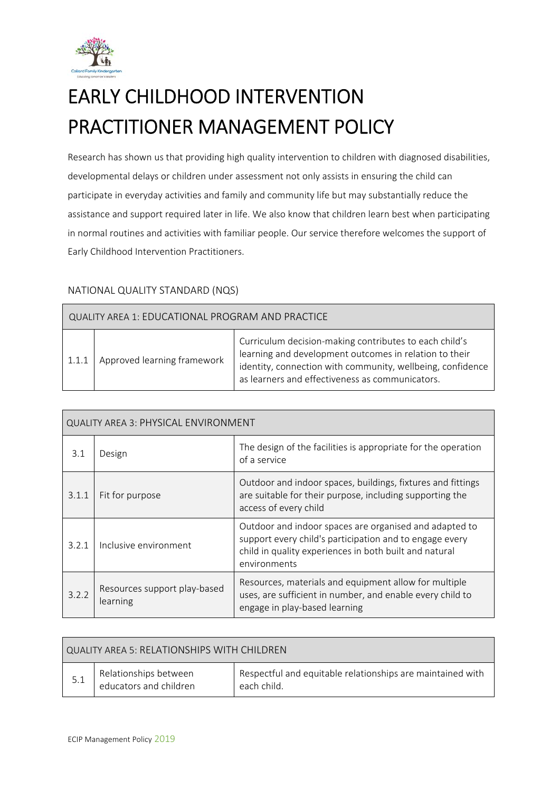

 $\blacksquare$ 

# EARLY CHILDHOOD INTERVENTION PRACTITIONER MANAGEMENT POLICY

Research has shown us that providing high quality intervention to children with diagnosed disabilities, developmental delays or children under assessment not only assists in ensuring the child can participate in everyday activities and family and community life but may substantially reduce the assistance and support required later in life. We also know that children learn best when participating in normal routines and activities with familiar people. Our service therefore welcomes the support of Early Childhood Intervention Practitioners.

## NATIONAL QUALITY STANDARD (NQS)

| QUALITY AREA 1: EDUCATIONAL PROGRAM AND PRACTICE |                             |                                                                                                                                                                                                                                   |
|--------------------------------------------------|-----------------------------|-----------------------------------------------------------------------------------------------------------------------------------------------------------------------------------------------------------------------------------|
| 1.1.1                                            | Approved learning framework | Curriculum decision-making contributes to each child's<br>learning and development outcomes in relation to their<br>identity, connection with community, wellbeing, confidence<br>as learners and effectiveness as communicators. |

| <b>QUALITY AREA 3: PHYSICAL ENVIRONMENT</b> |                                          |                                                                                                                                                                                             |
|---------------------------------------------|------------------------------------------|---------------------------------------------------------------------------------------------------------------------------------------------------------------------------------------------|
| 3.1                                         | Design                                   | The design of the facilities is appropriate for the operation<br>of a service                                                                                                               |
| 3.1.1                                       | Fit for purpose                          | Outdoor and indoor spaces, buildings, fixtures and fittings<br>are suitable for their purpose, including supporting the<br>access of every child                                            |
| 3.2.1                                       | Inclusive environment                    | Outdoor and indoor spaces are organised and adapted to<br>support every child's participation and to engage every<br>child in quality experiences in both built and natural<br>environments |
| 3.2.2                                       | Resources support play-based<br>learning | Resources, materials and equipment allow for multiple<br>uses, are sufficient in number, and enable every child to<br>engage in play-based learning                                         |

| QUALITY AREA 5: RELATIONSHIPS WITH CHILDREN |                                                 |                                                                           |
|---------------------------------------------|-------------------------------------------------|---------------------------------------------------------------------------|
| -5.1                                        | Relationships between<br>educators and children | Respectful and equitable relationships are maintained with<br>each child. |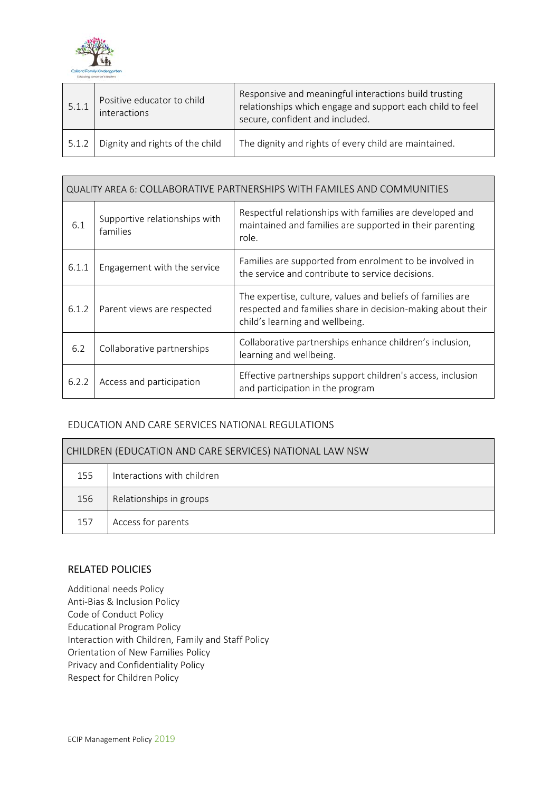

| 5.1.1 | Positive educator to child<br>interactions | Responsive and meaningful interactions build trusting<br>relationships which engage and support each child to feel<br>secure, confident and included. |  |
|-------|--------------------------------------------|-------------------------------------------------------------------------------------------------------------------------------------------------------|--|
| 5.1.2 | Dignity and rights of the child            | The dignity and rights of every child are maintained.                                                                                                 |  |

| QUALITY AREA 6: COLLABORATIVE PARTNERSHIPS WITH FAMILES AND COMMUNITIES |                                           |                                                                                                                                                              |
|-------------------------------------------------------------------------|-------------------------------------------|--------------------------------------------------------------------------------------------------------------------------------------------------------------|
| 6.1                                                                     | Supportive relationships with<br>families | Respectful relationships with families are developed and<br>maintained and families are supported in their parenting<br>role.                                |
| 6.1.1                                                                   | Engagement with the service               | Families are supported from enrolment to be involved in<br>the service and contribute to service decisions.                                                  |
| 6.1.2                                                                   | Parent views are respected                | The expertise, culture, values and beliefs of families are<br>respected and families share in decision-making about their<br>child's learning and wellbeing. |
| 6.2                                                                     | Collaborative partnerships                | Collaborative partnerships enhance children's inclusion,<br>learning and wellbeing.                                                                          |
| 6.2.2                                                                   | Access and participation                  | Effective partnerships support children's access, inclusion<br>and participation in the program                                                              |

## EDUCATION AND CARE SERVICES NATIONAL REGULATIONS

| CHILDREN (EDUCATION AND CARE SERVICES) NATIONAL LAW NSW |                            |  |
|---------------------------------------------------------|----------------------------|--|
| 155                                                     | Interactions with children |  |
| 156                                                     | Relationships in groups    |  |
| 157                                                     | Access for parents         |  |

#### RELATED POLICIES

Additional needs Policy Anti‐Bias & Inclusion Policy Code of Conduct Policy Educational Program Policy Interaction with Children, Family and Staff Policy Orientation of New Families Policy Privacy and Confidentiality Policy Respect for Children Policy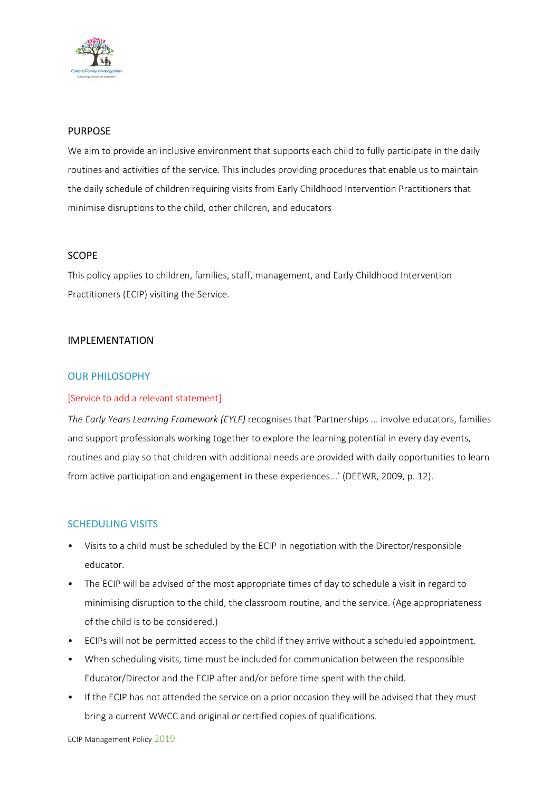

### PURPOSE

We aim to provide an inclusive environment that supports each child to fully participate in the daily routines and activities of the service. This includes providing procedures that enable us to maintain the daily schedule of children requiring visits from Early Childhood Intervention Practitioners that minimise disruptions to the child, other children, and educators

#### SCOPE

This policy applies to children, families, staff, management, and Early Childhood Intervention Practitioners (ECIP) visiting the Service.

### IMPLEMENTATION

### OUR PHILOSOPHY

#### [Service to add a relevant statement]

*The Early Years Learning Framework (EYLF)* recognises that 'Partnerships ... involve educators, families and support professionals working together to explore the learning potential in every day events, routines and play so that children with additional needs are provided with daily opportunities to learn from active participation and engagement in these experiences...' (DEEWR, 2009, p. 12).

## SCHEDULING VISITS

- Visits to a child must be scheduled by the ECIP in negotiation with the Director/responsible educator.
- The ECIP will be advised of the most appropriate times of day to schedule a visit in regard to minimising disruption to the child, the classroom routine, and the service. (Age appropriateness of the child is to be considered.)
- ECIPs will not be permitted access to the child if they arrive without a scheduled appointment.
- When scheduling visits, time must be included for communication between the responsible Educator/Director and the ECIP after and/or before time spent with the child.
- If the ECIP has not attended the service on a prior occasion they will be advised that they must bring a current WWCC and original *or* certified copies of qualifications.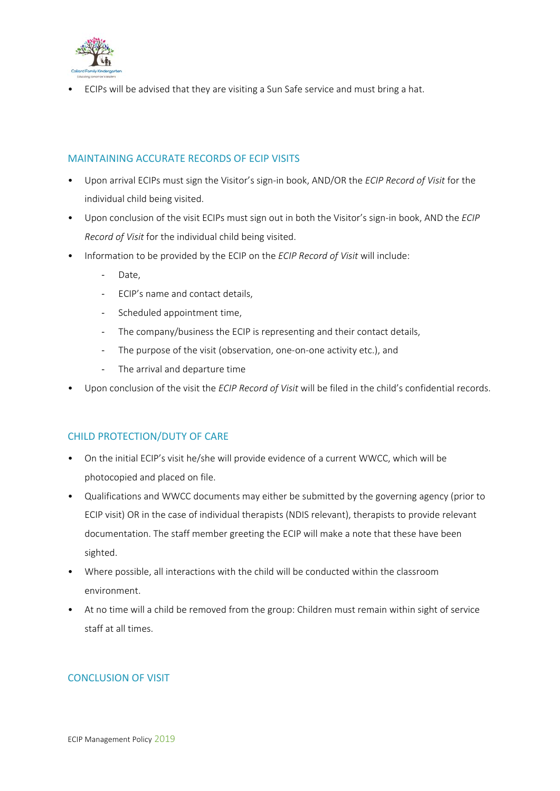

• ECIPs will be advised that they are visiting a Sun Safe service and must bring a hat.

## MAINTAINING ACCURATE RECORDS OF ECIP VISITS

- Upon arrival ECIPs must sign the Visitor's sign‐in book, AND/OR the *ECIP Record of Visit* for the individual child being visited.
- Upon conclusion of the visit ECIPs must sign out in both the Visitor's sign‐in book, AND the *ECIP Record of Visit* for the individual child being visited.
- Information to be provided by the ECIP on the *ECIP Record of Visit* will include:
	- Date.
	- ‐ ECIP's name and contact details,
	- ‐ Scheduled appointment time,
	- ‐ The company/business the ECIP is representing and their contact details,
	- ‐ The purpose of the visit (observation, one‐on‐one activity etc.), and
	- ‐ The arrival and departure time
- Upon conclusion of the visit the *ECIP Record of Visit* will be filed in the child's confidential records.

## CHILD PROTECTION/DUTY OF CARE

- On the initial ECIP's visit he/she will provide evidence of a current WWCC, which will be photocopied and placed on file.
- Qualifications and WWCC documents may either be submitted by the governing agency (prior to ECIP visit) OR in the case of individual therapists (NDIS relevant), therapists to provide relevant documentation. The staff member greeting the ECIP will make a note that these have been sighted.
- Where possible, all interactions with the child will be conducted within the classroom environment.
- At no time will a child be removed from the group: Children must remain within sight of service staff at all times.

## CONCLUSION OF VISIT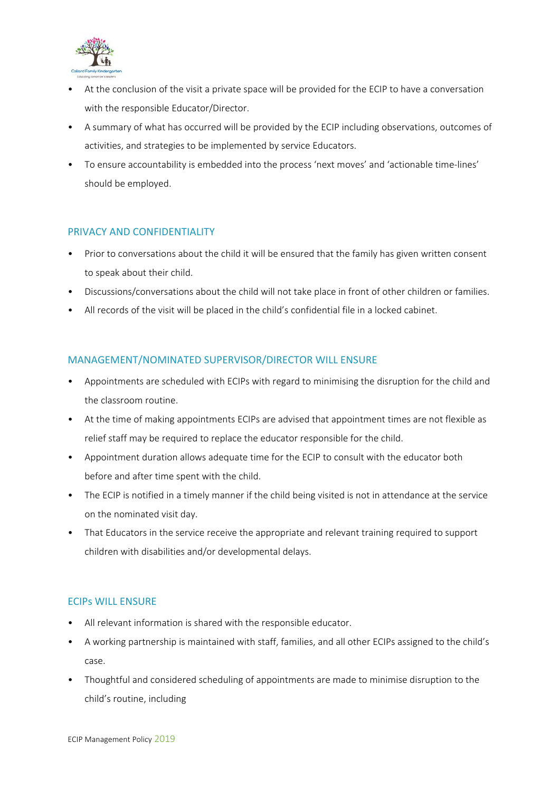

- At the conclusion of the visit a private space will be provided for the ECIP to have a conversation with the responsible Educator/Director.
- A summary of what has occurred will be provided by the ECIP including observations, outcomes of activities, and strategies to be implemented by service Educators.
- To ensure accountability is embedded into the process 'next moves' and 'actionable time-lines' should be employed.

## PRIVACY AND CONFIDENTIALITY

- Prior to conversations about the child it will be ensured that the family has given written consent to speak about their child.
- Discussions/conversations about the child will not take place in front of other children or families.
- All records of the visit will be placed in the child's confidential file in a locked cabinet.

## MANAGEMENT/NOMINATED SUPERVISOR/DIRECTOR WILL ENSURE

- Appointments are scheduled with ECIPs with regard to minimising the disruption for the child and the classroom routine.
- At the time of making appointments ECIPs are advised that appointment times are not flexible as relief staff may be required to replace the educator responsible for the child.
- Appointment duration allows adequate time for the ECIP to consult with the educator both before and after time spent with the child.
- The ECIP is notified in a timely manner if the child being visited is not in attendance at the service on the nominated visit day.
- That Educators in the service receive the appropriate and relevant training required to support children with disabilities and/or developmental delays.

## ECIPs WILL ENSURE

- All relevant information is shared with the responsible educator.
- A working partnership is maintained with staff, families, and all other ECIPs assigned to the child's case.
- Thoughtful and considered scheduling of appointments are made to minimise disruption to the child's routine, including